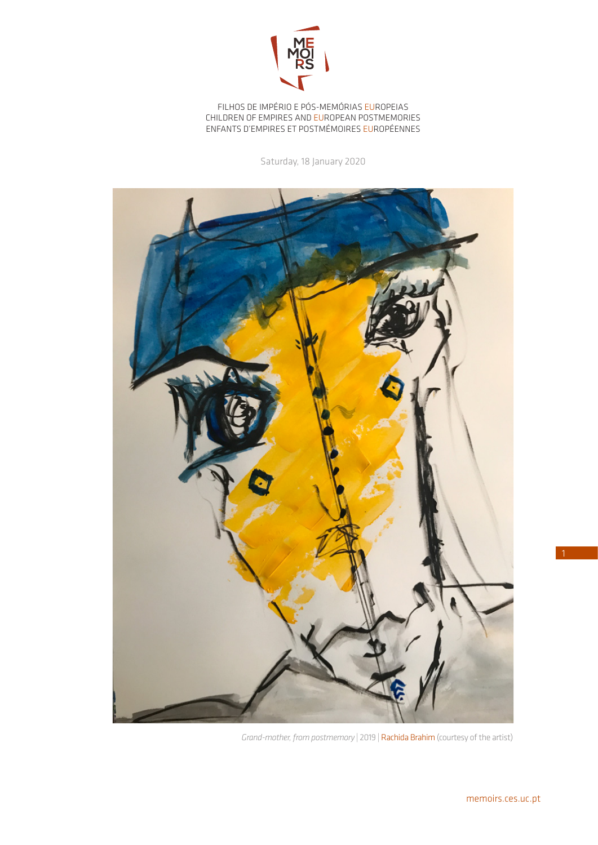

FILHOS DE IMPÉRIO E PÓS-MEMÓRIAS EUROPEIAS CHILDREN OF EMPIRES AND EUROPEAN POSTMEMORIES ENFANTS D'EMPIRES ET POSTMÉMOIRES EUROPÉENNES

Saturday, 18 January 2020



*Grand-mother, from postmemory* | 2019 | Rachida Brahim (courtesy of the artist)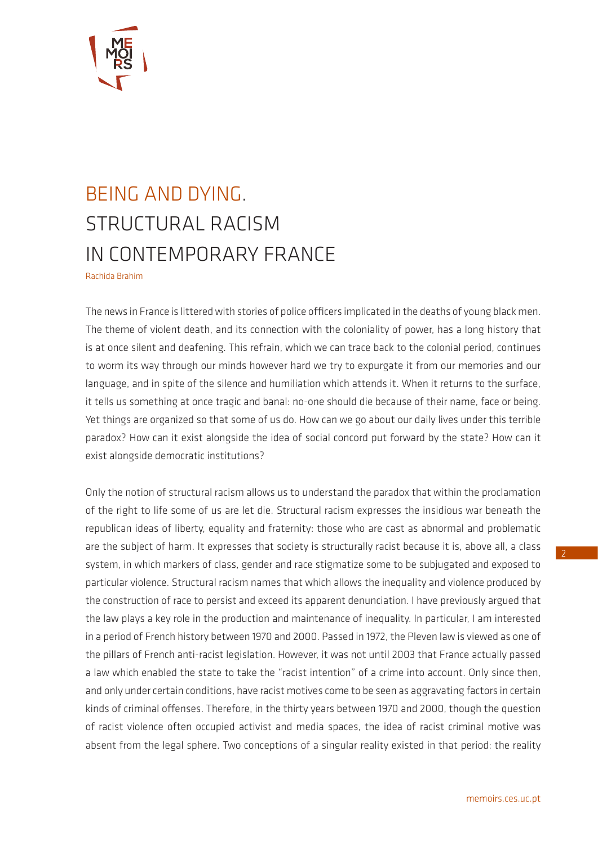

## BEING AND DYING. STRUCTURAL RACISM IN CONTEMPORARY FRANCE Rachida Brahim

The news in France is littered with stories of police officers implicated in the deaths of young black men. The theme of violent death, and its connection with the coloniality of power, has a long history that is at once silent and deafening. This refrain, which we can trace back to the colonial period, continues to worm its way through our minds however hard we try to expurgate it from our memories and our language, and in spite of the silence and humiliation which attends it. When it returns to the surface, it tells us something at once tragic and banal: no-one should die because of their name, face or being. Yet things are organized so that some of us do. How can we go about our daily lives under this terrible paradox? How can it exist alongside the idea of social concord put forward by the state? How can it exist alongside democratic institutions?

Only the notion of structural racism allows us to understand the paradox that within the proclamation of the right to life some of us are let die. Structural racism expresses the insidious war beneath the republican ideas of liberty, equality and fraternity: those who are cast as abnormal and problematic are the subject of harm. It expresses that society is structurally racist because it is, above all, a class system, in which markers of class, gender and race stigmatize some to be subjugated and exposed to particular violence. Structural racism names that which allows the inequality and violence produced by the construction of race to persist and exceed its apparent denunciation. I have previously argued that the law plays a key role in the production and maintenance of inequality. In particular, I am interested in a period of French history between 1970 and 2000. Passed in 1972, the Pleven law is viewed as one of the pillars of French anti-racist legislation. However, it was not until 2003 that France actually passed a law which enabled the state to take the "racist intention" of a crime into account. Only since then, and only under certain conditions, have racist motives come to be seen as aggravating factors in certain kinds of criminal offenses. Therefore, in the thirty years between 1970 and 2000, though the question of racist violence often occupied activist and media spaces, the idea of racist criminal motive was absent from the legal sphere. Two conceptions of a singular reality existed in that period: the reality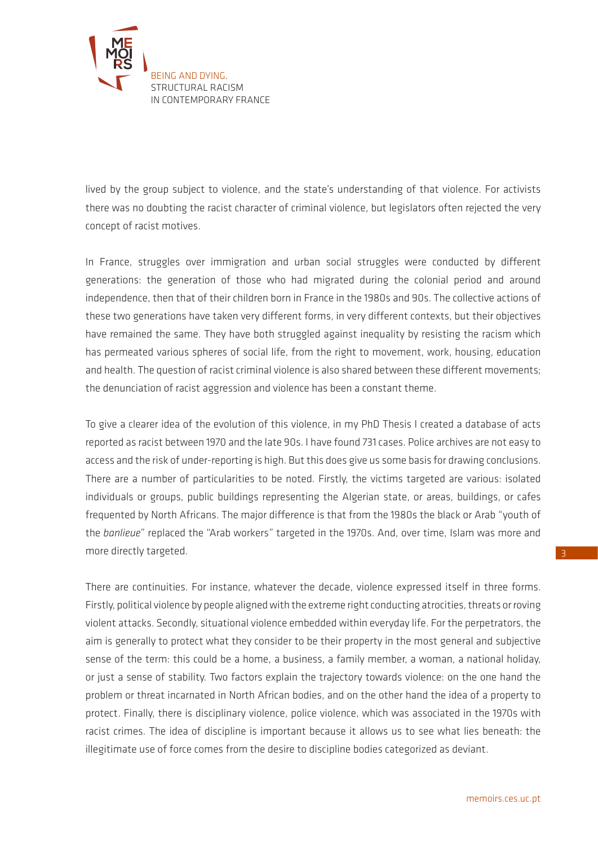

lived by the group subject to violence, and the state's understanding of that violence. For activists there was no doubting the racist character of criminal violence, but legislators often rejected the very concept of racist motives.

In France, struggles over immigration and urban social struggles were conducted by different generations: the generation of those who had migrated during the colonial period and around independence, then that of their children born in France in the 1980s and 90s. The collective actions of these two generations have taken very different forms, in very different contexts, but their objectives have remained the same. They have both struggled against inequality by resisting the racism which has permeated various spheres of social life, from the right to movement, work, housing, education and health. The question of racist criminal violence is also shared between these different movements; the denunciation of racist aggression and violence has been a constant theme.

To give a clearer idea of the evolution of this violence, in my PhD Thesis I created a database of acts reported as racist between 1970 and the late 90s. I have found 731 cases. Police archives are not easy to access and the risk of under-reporting is high. But this does give us some basis for drawing conclusions. There are a number of particularities to be noted. Firstly, the victims targeted are various: isolated individuals or groups, public buildings representing the Algerian state, or areas, buildings, or cafes frequented by North Africans. The major difference is that from the 1980s the black or Arab "youth of the *banlieue*" replaced the "Arab workers" targeted in the 1970s. And, over time, Islam was more and more directly targeted.

There are continuities. For instance, whatever the decade, violence expressed itself in three forms. Firstly, political violence by people aligned with the extreme right conducting atrocities, threats or roving violent attacks. Secondly, situational violence embedded within everyday life. For the perpetrators, the aim is generally to protect what they consider to be their property in the most general and subjective sense of the term: this could be a home, a business, a family member, a woman, a national holiday, or just a sense of stability. Two factors explain the trajectory towards violence: on the one hand the problem or threat incarnated in North African bodies, and on the other hand the idea of a property to protect. Finally, there is disciplinary violence, police violence, which was associated in the 1970s with racist crimes. The idea of discipline is important because it allows us to see what lies beneath: the illegitimate use of force comes from the desire to discipline bodies categorized as deviant.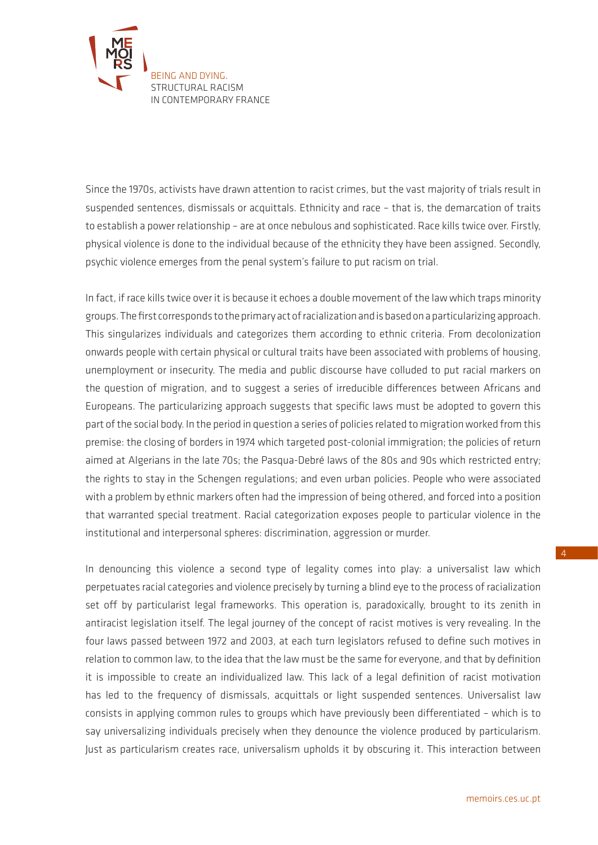

Since the 1970s, activists have drawn attention to racist crimes, but the vast majority of trials result in suspended sentences, dismissals or acquittals. Ethnicity and race – that is, the demarcation of traits to establish a power relationship – are at once nebulous and sophisticated. Race kills twice over. Firstly, physical violence is done to the individual because of the ethnicity they have been assigned. Secondly, psychic violence emerges from the penal system's failure to put racism on trial.

In fact, if race kills twice over it is because it echoes a double movement of the law which traps minority groups. The first corresponds to the primary act of racialization and is based on a particularizing approach. This singularizes individuals and categorizes them according to ethnic criteria. From decolonization onwards people with certain physical or cultural traits have been associated with problems of housing, unemployment or insecurity. The media and public discourse have colluded to put racial markers on the question of migration, and to suggest a series of irreducible differences between Africans and Europeans. The particularizing approach suggests that specific laws must be adopted to govern this part of the social body. In the period in question a series of policies related to migration worked from this premise: the closing of borders in 1974 which targeted post-colonial immigration; the policies of return aimed at Algerians in the late 70s; the Pasqua-Debré laws of the 80s and 90s which restricted entry; the rights to stay in the Schengen regulations; and even urban policies. People who were associated with a problem by ethnic markers often had the impression of being othered, and forced into a position that warranted special treatment. Racial categorization exposes people to particular violence in the institutional and interpersonal spheres: discrimination, aggression or murder.

In denouncing this violence a second type of legality comes into play: a universalist law which perpetuates racial categories and violence precisely by turning a blind eye to the process of racialization set off by particularist legal frameworks. This operation is, paradoxically, brought to its zenith in antiracist legislation itself. The legal journey of the concept of racist motives is very revealing. In the four laws passed between 1972 and 2003, at each turn legislators refused to define such motives in relation to common law, to the idea that the law must be the same for everyone, and that by definition it is impossible to create an individualized law. This lack of a legal definition of racist motivation has led to the frequency of dismissals, acquittals or light suspended sentences. Universalist law consists in applying common rules to groups which have previously been differentiated – which is to say universalizing individuals precisely when they denounce the violence produced by particularism. Just as particularism creates race, universalism upholds it by obscuring it. This interaction between